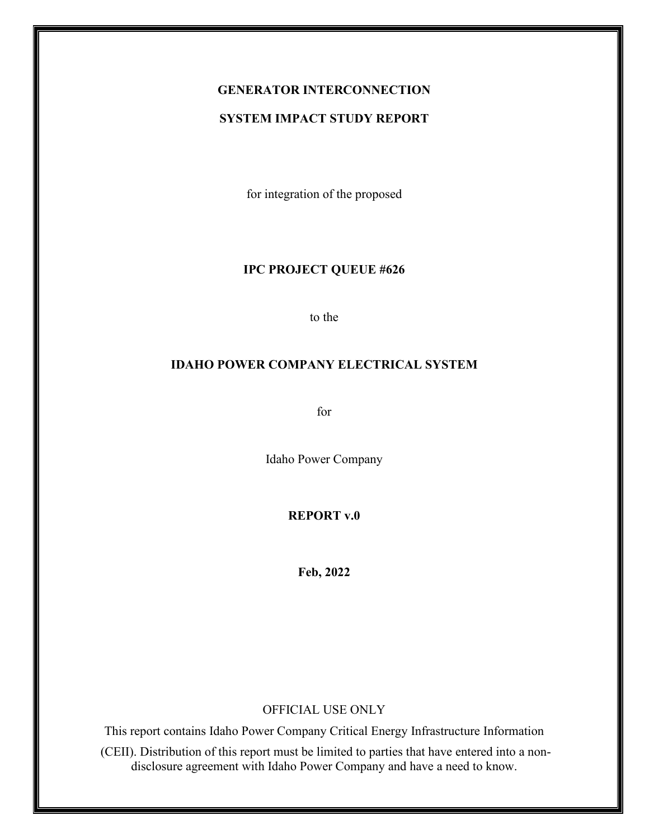# **GENERATOR INTERCONNECTION**

### **SYSTEM IMPACT STUDY REPORT**

for integration of the proposed

#### **IPC PROJECT QUEUE #626**

to the

#### **IDAHO POWER COMPANY ELECTRICAL SYSTEM**

for

Idaho Power Company

**REPORT v.0**

**Feb, 2022**

#### OFFICIAL USE ONLY

This report contains Idaho Power Company Critical Energy Infrastructure Information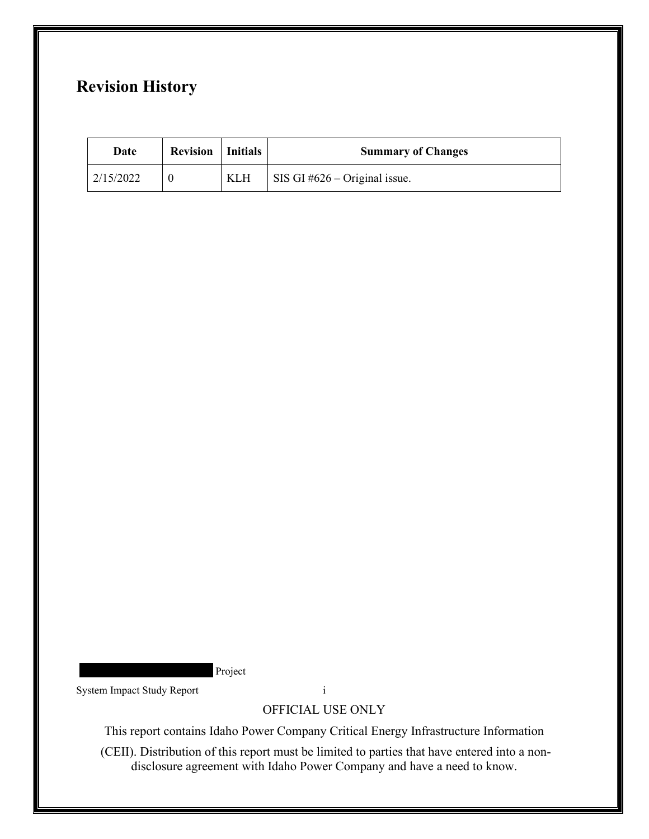## **Revision History**

| Date      | <b>Revision</b>   Initials |            | <b>Summary of Changes</b>       |
|-----------|----------------------------|------------|---------------------------------|
| 2/15/2022 |                            | <b>KLH</b> | SIS GI $#626 -$ Original issue. |

Project

System Impact Study Report i

OFFICIAL USE ONLY

This report contains Idaho Power Company Critical Energy Infrastructure Information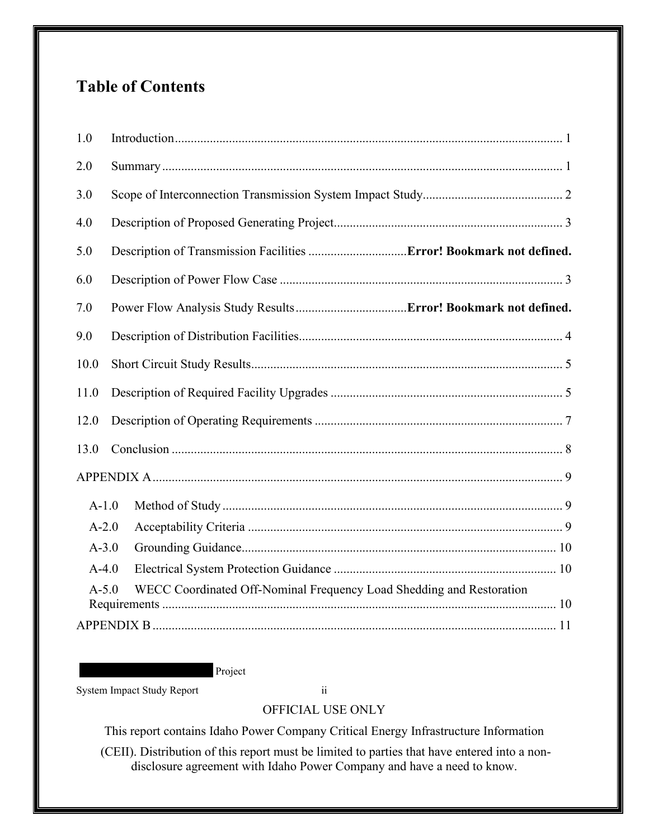## **Table of Contents**

| 1.0                                                                             |  |  |  |  |
|---------------------------------------------------------------------------------|--|--|--|--|
| 2.0                                                                             |  |  |  |  |
| 3.0                                                                             |  |  |  |  |
| 4.0                                                                             |  |  |  |  |
| 5.0                                                                             |  |  |  |  |
| 6.0                                                                             |  |  |  |  |
| 7.0                                                                             |  |  |  |  |
| 9.0                                                                             |  |  |  |  |
| 10.0                                                                            |  |  |  |  |
| 11.0                                                                            |  |  |  |  |
| 12.0                                                                            |  |  |  |  |
| 13.0                                                                            |  |  |  |  |
|                                                                                 |  |  |  |  |
| $A-1.0$                                                                         |  |  |  |  |
| $A-2.0$                                                                         |  |  |  |  |
| $A - 3.0$                                                                       |  |  |  |  |
| $A-4.0$                                                                         |  |  |  |  |
| WECC Coordinated Off-Nominal Frequency Load Shedding and Restoration<br>$A-5.0$ |  |  |  |  |
|                                                                                 |  |  |  |  |

Project

System Impact Study Report ii

OFFICIAL USE ONLY

This report contains Idaho Power Company Critical Energy Infrastructure Information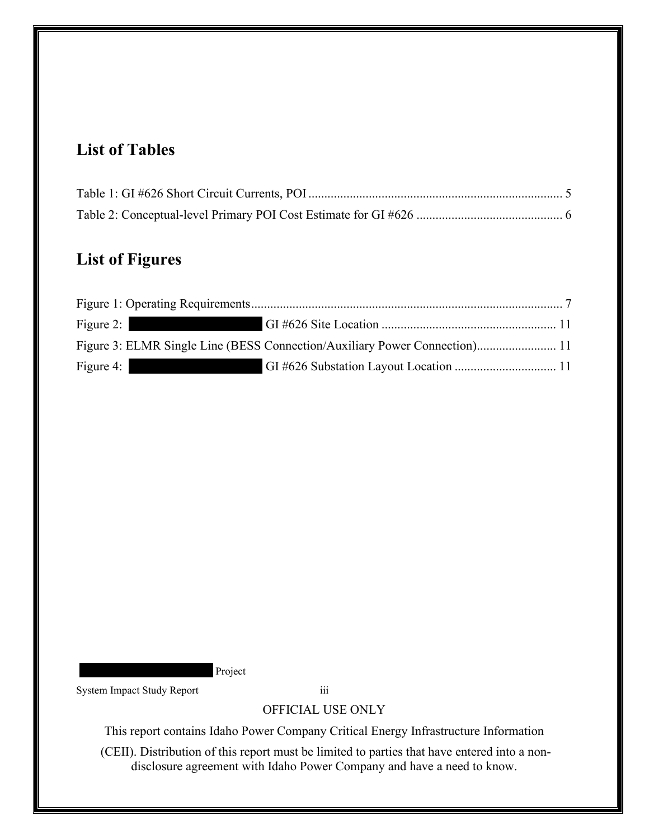## **List of Tables**

## **List of Figures**

| Figure 2: $\vert$ |                                                                            |  |
|-------------------|----------------------------------------------------------------------------|--|
|                   | Figure 3: ELMR Single Line (BESS Connection/Auxiliary Power Connection) 11 |  |
| Figure 4:         |                                                                            |  |

Project

System Impact Study Report iii

OFFICIAL USE ONLY

This report contains Idaho Power Company Critical Energy Infrastructure Information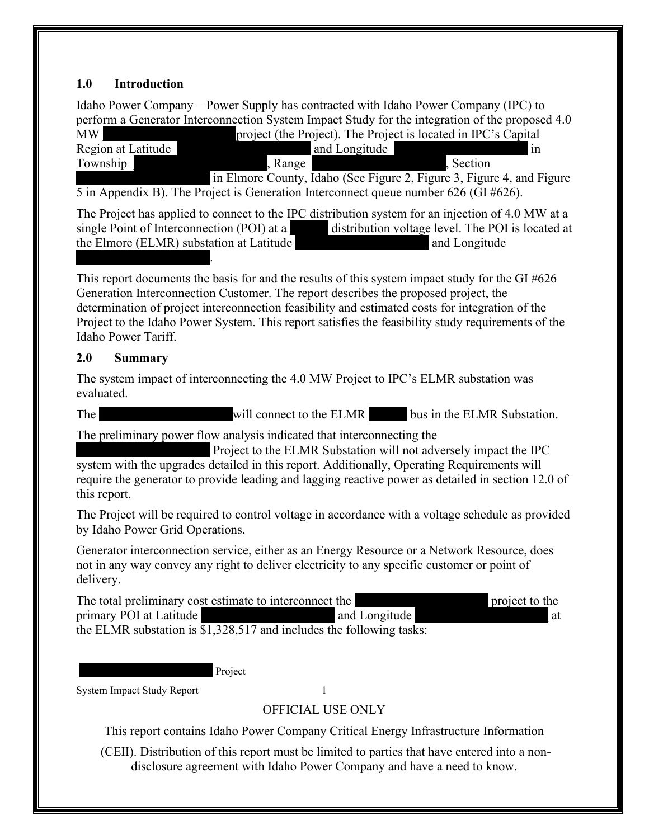## <span id="page-4-0"></span>**1.0 Introduction**

Idaho Power Company – Power Supply has contracted with Idaho Power Company (IPC) to perform a Generator Interconnection System Impact Study for the integration of the proposed 4.0<br>MW project (the Project). The Project is located in IPC's Capital.

| TAT A A            |               | $\mathbf{p}$ of the Follow, the Flore is located in H $\in$ s Capital |
|--------------------|---------------|-----------------------------------------------------------------------|
| Region at Latitude | and Longitude | 1N                                                                    |
| Township           | Range         | Section                                                               |
|                    |               | in Elmore County, Idaho (See Figure 2, Figure 3, Figure 4, and Figure |

[5](#page-14-3) in Appendix B). The Project is Generation Interconnect queue number 626 (GI #626).

The Project has applied to connect to the IPC distribution system for an injection of 4.0 MW at a single Point of Interconnection (POI) at a **a** distribution voltage level. The POI is located at the Elmore (ELMR) substation at Latitude **Elmore** and Longitude  $\mathcal{L}_\text{max}$  and  $\mathcal{L}_\text{max}$  and  $\mathcal{L}_\text{max}$ 

This report documents the basis for and the results of this system impact study for the GI #626 Generation Interconnection Customer. The report describes the proposed project, the determination of project interconnection feasibility and estimated costs for integration of the Project to the Idaho Power System. This report satisfies the feasibility study requirements of the Idaho Power Tariff.

### <span id="page-4-1"></span>**2.0 Summary**

The system impact of interconnecting the 4.0 MW Project to IPC's ELMR substation was evaluated.

The will connect to the ELMR bus in the ELMR Substation.

The preliminary power flow analysis indicated that interconnecting the

Project to the ELMR Substation will not adversely impact the IPC system with the upgrades detailed in this report. Additionally, Operating Requirements will require the generator to provide leading and lagging reactive power as detailed in section 12.0 of this report.

The Project will be required to control voltage in accordance with a voltage schedule as provided by Idaho Power Grid Operations.

Generator interconnection service, either as an Energy Resource or a Network Resource, does not in any way convey any right to deliver electricity to any specific customer or point of delivery.

The total preliminary cost estimate to interconnect the **Exercise 2** project to the primary POI at Latitude  $\Box$  and Longitude  $\Box$  at  $\Box$  at the ELMR substation is \$1,328,517 and includes the following tasks:

Project

System Impact Study Report 1

## OFFICIAL USE ONLY

This report contains Idaho Power Company Critical Energy Infrastructure Information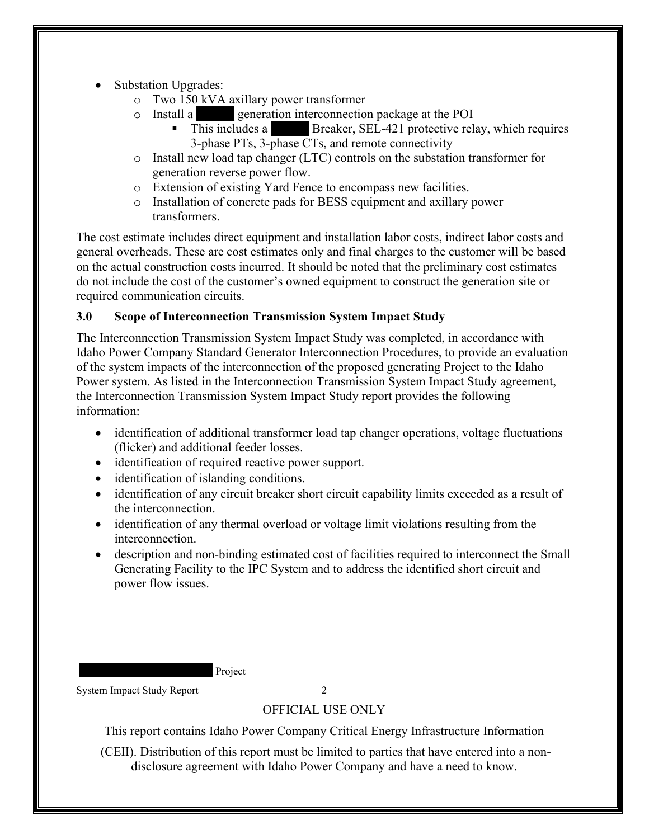- Substation Upgrades:
	- $\circ$  Two 150 kVA axillary power transformer<br>  $\circ$  Install a
		- generation interconnection package at the POI
			- This includes a **Breaker**, SEL-421 protective relay, which requires 3-phase PTs, 3-phase CTs, and remote connectivity
	- o Install new load tap changer (LTC) controls on the substation transformer for generation reverse power flow.
	- o Extension of existing Yard Fence to encompass new facilities.
	- o Installation of concrete pads for BESS equipment and axillary power transformers.

The cost estimate includes direct equipment and installation labor costs, indirect labor costs and general overheads. These are cost estimates only and final charges to the customer will be based on the actual construction costs incurred. It should be noted that the preliminary cost estimates do not include the cost of the customer's owned equipment to construct the generation site or required communication circuits.

## <span id="page-5-0"></span>**3.0 Scope of Interconnection Transmission System Impact Study**

The Interconnection Transmission System Impact Study was completed, in accordance with Idaho Power Company Standard Generator Interconnection Procedures, to provide an evaluation of the system impacts of the interconnection of the proposed generating Project to the Idaho Power system. As listed in the Interconnection Transmission System Impact Study agreement, the Interconnection Transmission System Impact Study report provides the following information:

- identification of additional transformer load tap changer operations, voltage fluctuations (flicker) and additional feeder losses.
- identification of required reactive power support.
- identification of islanding conditions.
- identification of any circuit breaker short circuit capability limits exceeded as a result of the interconnection.
- identification of any thermal overload or voltage limit violations resulting from the interconnection.
- description and non-binding estimated cost of facilities required to interconnect the Small Generating Facility to the IPC System and to address the identified short circuit and power flow issues.

Project

System Impact Study Report 2

## OFFICIAL USE ONLY

This report contains Idaho Power Company Critical Energy Infrastructure Information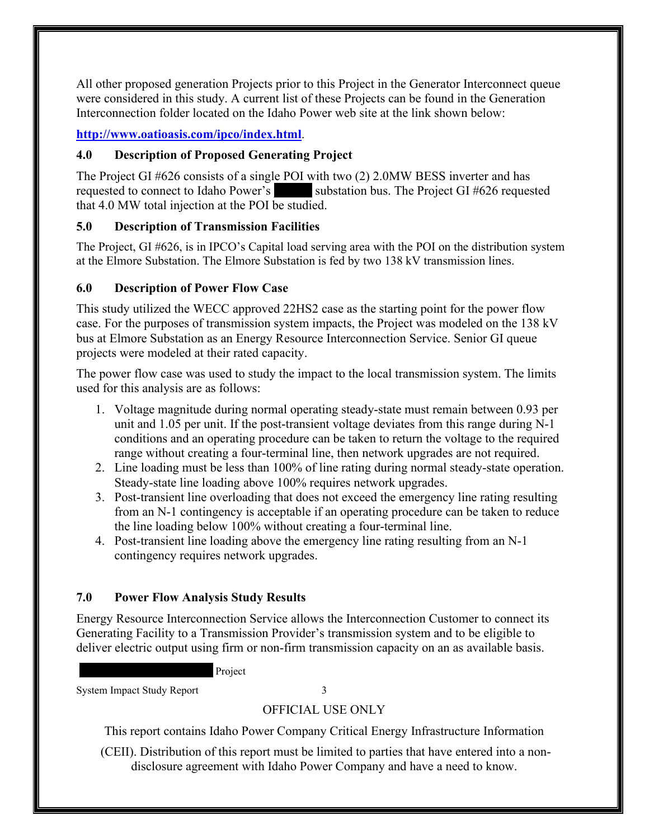All other proposed generation Projects prior to this Project in the Generator Interconnect queue were considered in this study. A current list of these Projects can be found in the Generation Interconnection folder located on the Idaho Power web site at the link shown below:

## **<http://www.oatioasis.com/ipco/index.html>**.

### <span id="page-6-0"></span>**4.0 Description of Proposed Generating Project**

The Project GI #626 consists of a single POI with two (2) 2.0MW BESS inverter and has requested to connect to Idaho Power's substation bus. The Project GI #626 requested that 4.0 MW total injection at the POI be studied.

## <span id="page-6-1"></span>**5.0 Description of Transmission Facilities**

The Project, GI #626, is in IPCO's Capital load serving area with the POI on the distribution system at the Elmore Substation. The Elmore Substation is fed by two 138 kV transmission lines.

## **6.0 Description of Power Flow Case**

This study utilized the WECC approved 22HS2 case as the starting point for the power flow case. For the purposes of transmission system impacts, the Project was modeled on the 138 kV bus at Elmore Substation as an Energy Resource Interconnection Service. Senior GI queue projects were modeled at their rated capacity.

The power flow case was used to study the impact to the local transmission system. The limits used for this analysis are as follows:

- 1. Voltage magnitude during normal operating steady-state must remain between 0.93 per unit and 1.05 per unit. If the post-transient voltage deviates from this range during N-1 conditions and an operating procedure can be taken to return the voltage to the required range without creating a four-terminal line, then network upgrades are not required.
- 2. Line loading must be less than 100% of line rating during normal steady-state operation. Steady-state line loading above 100% requires network upgrades.
- 3. Post-transient line overloading that does not exceed the emergency line rating resulting from an N-1 contingency is acceptable if an operating procedure can be taken to reduce the line loading below 100% without creating a four-terminal line.
- 4. Post-transient line loading above the emergency line rating resulting from an N-1 contingency requires network upgrades.

## **7.0 Power Flow Analysis Study Results**

Energy Resource Interconnection Service allows the Interconnection Customer to connect its Generating Facility to a Transmission Provider's transmission system and to be eligible to deliver electric output using firm or non-firm transmission capacity on an as available basis.

Project

System Impact Study Report 3

## OFFICIAL USE ONLY

This report contains Idaho Power Company Critical Energy Infrastructure Information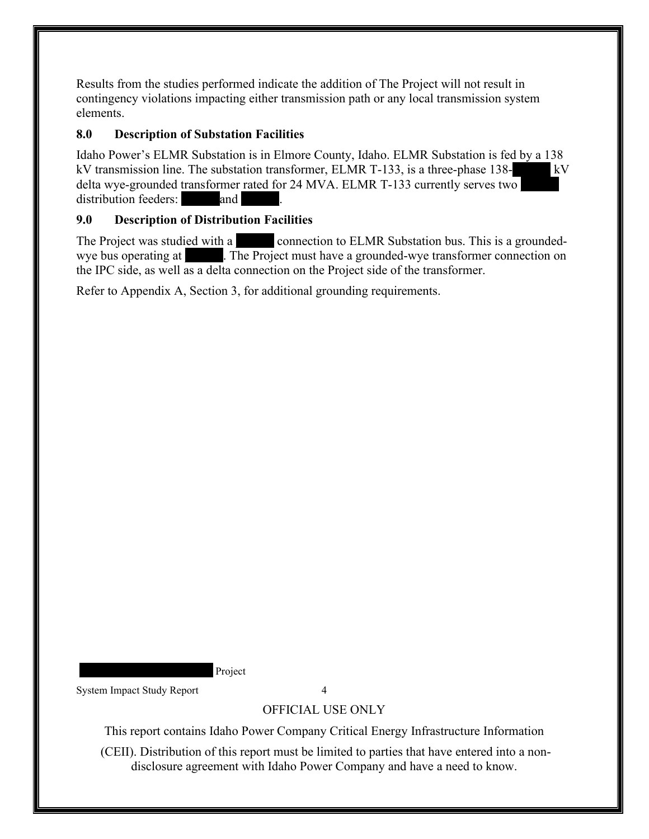Results from the studies performed indicate the addition of The Project will not result in contingency violations impacting either transmission path or any local transmission system elements.

## **8.0 Description of Substation Facilities**

Idaho Power's ELMR Substation is in Elmore County, Idaho. ELMR Substation is fed by a 138 kV transmission line. The substation transformer, ELMR T-133, is a three-phase 138delta wye-grounded transformer rated for 24 MVA. ELMR T-133 currently serves two distribution feeders: **and** 

## <span id="page-7-0"></span>**9.0 Description of Distribution Facilities**

The Project was studied with a connection to ELMR Substation bus. This is a groundedwye bus operating at The Project must have a grounded-wye transformer connection on the IPC side, as well as a delta connection on the Project side of the transformer.

Refer to Appendix A, Section 3, for additional grounding requirements.

Project

System Impact Study Report 4

## OFFICIAL USE ONLY

This report contains Idaho Power Company Critical Energy Infrastructure Information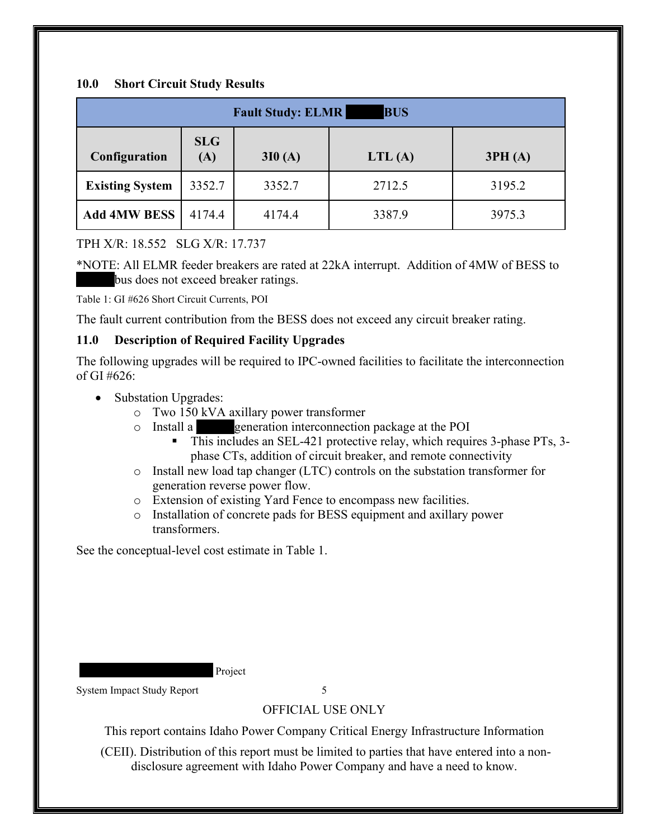#### <span id="page-8-0"></span>**10.0 Short Circuit Study Results**

| <b>BUS</b><br><b>Fault Study: ELMR</b> |                   |        |        |        |
|----------------------------------------|-------------------|--------|--------|--------|
| Configuration                          | <b>SLG</b><br>(A) | 3I0(A) | LTL(A) | 3PH(A) |
| <b>Existing System</b>                 | 3352.7            | 3352.7 | 2712.5 | 3195.2 |
| <b>Add 4MW BESS</b>                    | 4174.4            | 4174.4 | 3387.9 | 3975.3 |

### TPH X/R: 18.552 SLG X/R: 17.737

\*NOTE: All ELMR feeder breakers are rated at 22kA interrupt. Addition of 4MW of BESS to bus does not exceed breaker ratings.

<span id="page-8-2"></span>Table 1: GI #626 Short Circuit Currents, POI

The fault current contribution from the BESS does not exceed any circuit breaker rating.

### <span id="page-8-1"></span>**11.0 Description of Required Facility Upgrades**

The following upgrades will be required to IPC-owned facilities to facilitate the interconnection of GI  $#626$ :

- Substation Upgrades:
	- $\circ$  Two 150 kVA axillary power transformer<br>  $\circ$  Install a generation interconnection
	- generation interconnection package at the POI
		- This includes an SEL-421 protective relay, which requires 3-phase PTs, 3phase CTs, addition of circuit breaker, and remote connectivity
	- o Install new load tap changer (LTC) controls on the substation transformer for generation reverse power flow.
	- o Extension of existing Yard Fence to encompass new facilities.
	- o Installation of concrete pads for BESS equipment and axillary power transformers.

See the conceptual-level cost estimate in Table 1.

Project

System Impact Study Report 5

## OFFICIAL USE ONLY

This report contains Idaho Power Company Critical Energy Infrastructure Information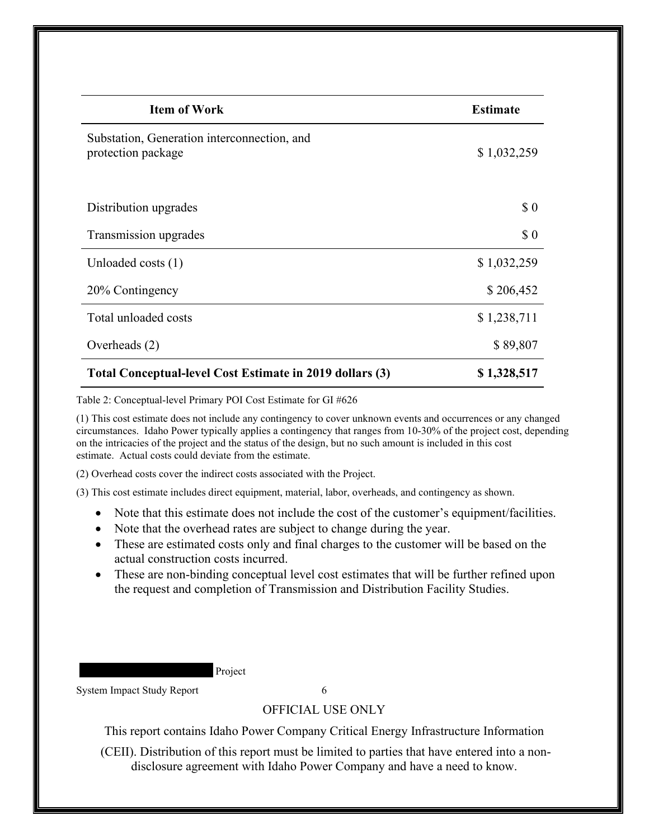| <b>Item of Work</b>                                               | <b>Estimate</b> |
|-------------------------------------------------------------------|-----------------|
| Substation, Generation interconnection, and<br>protection package | \$1,032,259     |
| Distribution upgrades                                             | \$0             |
| Transmission upgrades                                             | \$0             |
| Unloaded costs (1)                                                | \$1,032,259     |
| 20% Contingency                                                   | \$206,452       |
| Total unloaded costs                                              | \$1,238,711     |
| Overheads (2)                                                     | \$89,807        |
| Total Conceptual-level Cost Estimate in 2019 dollars (3)          | \$1,328,517     |

<span id="page-9-0"></span>Table 2: Conceptual-level Primary POI Cost Estimate for GI #626

(1) This cost estimate does not include any contingency to cover unknown events and occurrences or any changed circumstances. Idaho Power typically applies a contingency that ranges from 10-30% of the project cost, depending on the intricacies of the project and the status of the design, but no such amount is included in this cost estimate. Actual costs could deviate from the estimate.

(2) Overhead costs cover the indirect costs associated with the Project.

(3) This cost estimate includes direct equipment, material, labor, overheads, and contingency as shown.

- Note that this estimate does not include the cost of the customer's equipment/facilities.
- Note that the overhead rates are subject to change during the year.
- These are estimated costs only and final charges to the customer will be based on the actual construction costs incurred.
- These are non-binding conceptual level cost estimates that will be further refined upon the request and completion of Transmission and Distribution Facility Studies.

Project

System Impact Study Report 6

#### OFFICIAL USE ONLY

This report contains Idaho Power Company Critical Energy Infrastructure Information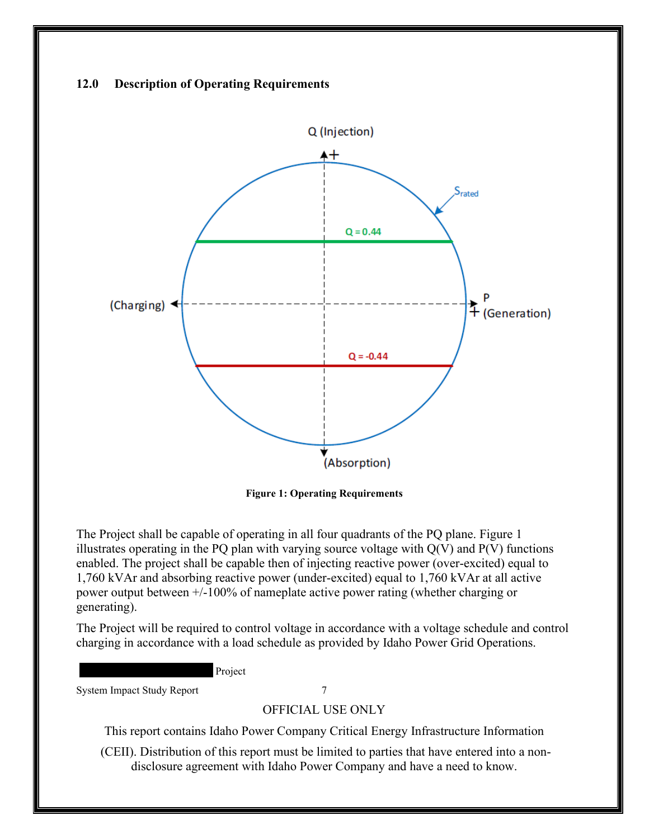#### <span id="page-10-0"></span>**12.0 Description of Operating Requirements**



**Figure 1: Operating Requirements**

<span id="page-10-1"></span>The Project shall be capable of operating in all four quadrants of the PQ plane. Figure 1 illustrates operating in the PQ plan with varying source voltage with  $Q(V)$  and  $P(V)$  functions enabled. The project shall be capable then of injecting reactive power (over-excited) equal to 1,760 kVAr and absorbing reactive power (under-excited) equal to 1,760 kVAr at all active power output between +/-100% of nameplate active power rating (whether charging or generating).

The Project will be required to control voltage in accordance with a voltage schedule and control charging in accordance with a load schedule as provided by Idaho Power Grid Operations.

Project

System Impact Study Report 7

OFFICIAL USE ONLY

This report contains Idaho Power Company Critical Energy Infrastructure Information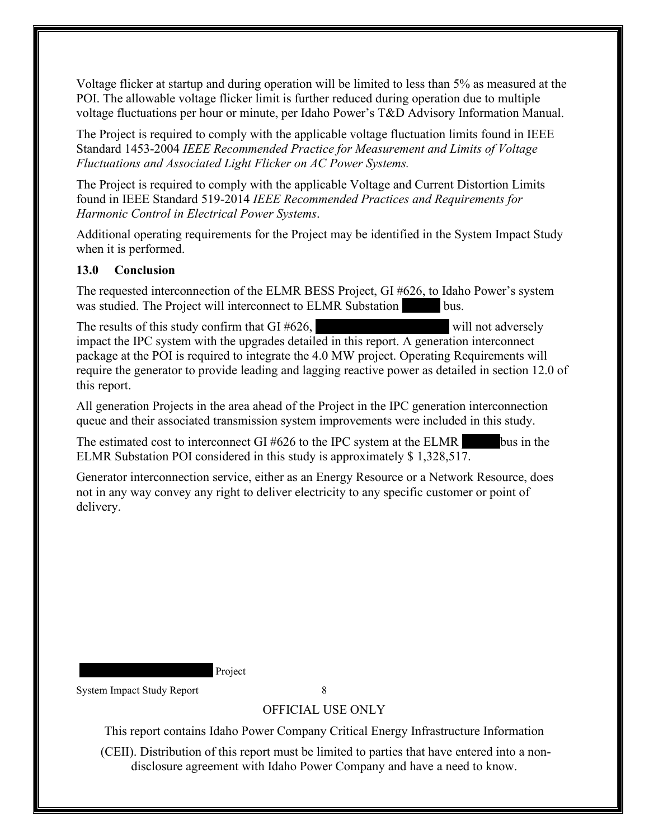Voltage flicker at startup and during operation will be limited to less than 5% as measured at the POI. The allowable voltage flicker limit is further reduced during operation due to multiple voltage fluctuations per hour or minute, per Idaho Power's T&D Advisory Information Manual.

The Project is required to comply with the applicable voltage fluctuation limits found in IEEE Standard 1453-2004 *IEEE Recommended Practice for Measurement and Limits of Voltage Fluctuations and Associated Light Flicker on AC Power Systems.* 

The Project is required to comply with the applicable Voltage and Current Distortion Limits found in IEEE Standard 519-2014 *IEEE Recommended Practices and Requirements for Harmonic Control in Electrical Power Systems*.

Additional operating requirements for the Project may be identified in the System Impact Study when it is performed.

### <span id="page-11-0"></span>**13.0 Conclusion**

The requested interconnection of the ELMR BESS Project, GI #626, to Idaho Power's system was studied. The Project will interconnect to ELMR Substation bus.

The results of this study confirm that  $GI \#626$ , will not adversely impact the IPC system with the upgrades detailed in this report. A generation interconnect package at the POI is required to integrate the 4.0 MW project. Operating Requirements will require the generator to provide leading and lagging reactive power as detailed in section 12.0 of this report.

All generation Projects in the area ahead of the Project in the IPC generation interconnection queue and their associated transmission system improvements were included in this study.

The estimated cost to interconnect GI #626 to the IPC system at the ELMR bus in the ELMR Substation POI considered in this study is approximately \$ 1,328,517.

Generator interconnection service, either as an Energy Resource or a Network Resource, does not in any way convey any right to deliver electricity to any specific customer or point of delivery.

Project

System Impact Study Report 8

## OFFICIAL USE ONLY

This report contains Idaho Power Company Critical Energy Infrastructure Information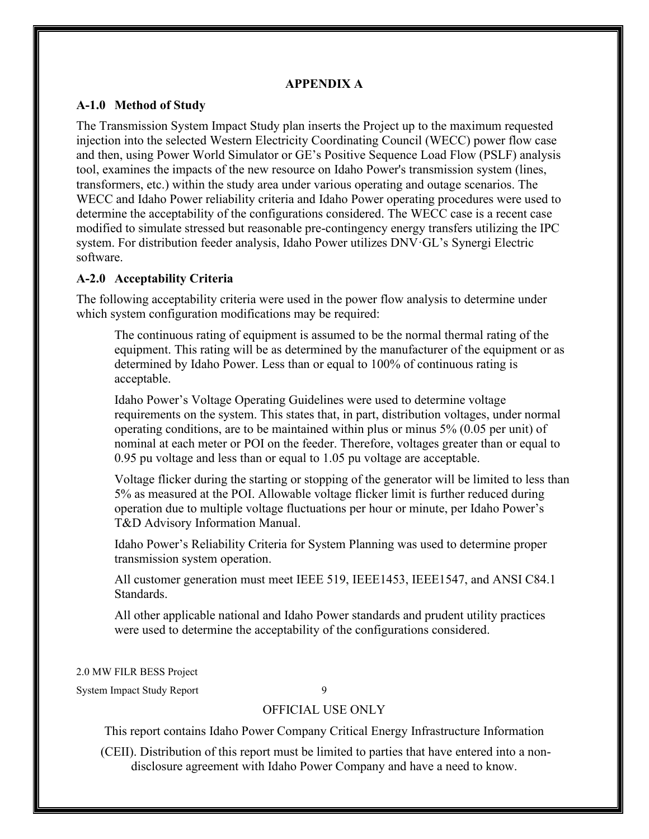#### **APPENDIX A**

#### <span id="page-12-1"></span><span id="page-12-0"></span>**A-1.0 Method of Study**

The Transmission System Impact Study plan inserts the Project up to the maximum requested injection into the selected Western Electricity Coordinating Council (WECC) power flow case and then, using Power World Simulator or GE's Positive Sequence Load Flow (PSLF) analysis tool, examines the impacts of the new resource on Idaho Power's transmission system (lines, transformers, etc.) within the study area under various operating and outage scenarios. The WECC and Idaho Power reliability criteria and Idaho Power operating procedures were used to determine the acceptability of the configurations considered. The WECC case is a recent case modified to simulate stressed but reasonable pre-contingency energy transfers utilizing the IPC system. For distribution feeder analysis, Idaho Power utilizes DNV·GL's Synergi Electric software.

#### <span id="page-12-2"></span>**A-2.0 Acceptability Criteria**

The following acceptability criteria were used in the power flow analysis to determine under which system configuration modifications may be required:

The continuous rating of equipment is assumed to be the normal thermal rating of the equipment. This rating will be as determined by the manufacturer of the equipment or as determined by Idaho Power. Less than or equal to 100% of continuous rating is acceptable.

Idaho Power's Voltage Operating Guidelines were used to determine voltage requirements on the system. This states that, in part, distribution voltages, under normal operating conditions, are to be maintained within plus or minus 5% (0.05 per unit) of nominal at each meter or POI on the feeder. Therefore, voltages greater than or equal to 0.95 pu voltage and less than or equal to 1.05 pu voltage are acceptable.

Voltage flicker during the starting or stopping of the generator will be limited to less than 5% as measured at the POI. Allowable voltage flicker limit is further reduced during operation due to multiple voltage fluctuations per hour or minute, per Idaho Power's T&D Advisory Information Manual.

Idaho Power's Reliability Criteria for System Planning was used to determine proper transmission system operation.

All customer generation must meet IEEE 519, IEEE1453, IEEE1547, and ANSI C84.1 Standards.

All other applicable national and Idaho Power standards and prudent utility practices were used to determine the acceptability of the configurations considered.

2.0 MW FILR BESS Project

System Impact Study Report 9

#### OFFICIAL USE ONLY

This report contains Idaho Power Company Critical Energy Infrastructure Information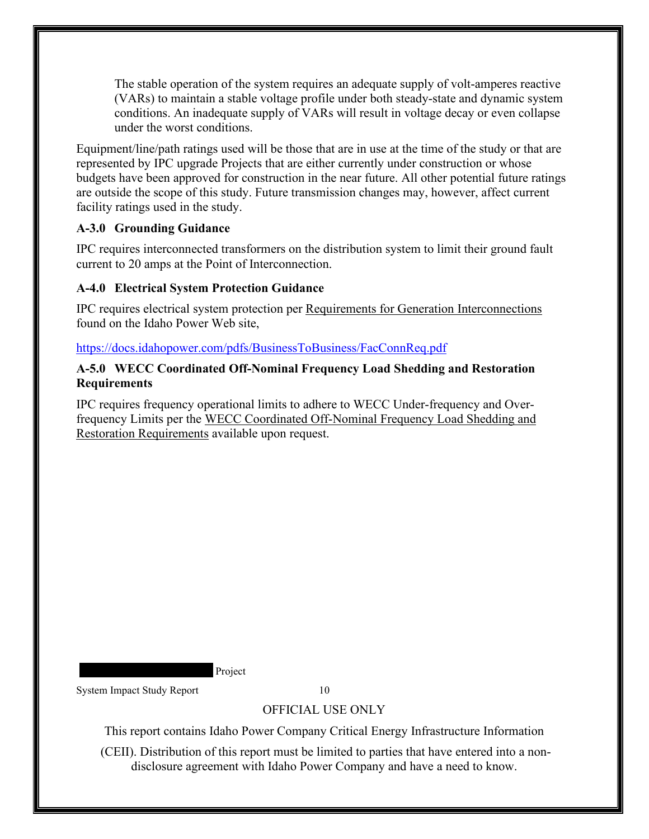The stable operation of the system requires an adequate supply of volt-amperes reactive (VARs) to maintain a stable voltage profile under both steady-state and dynamic system conditions. An inadequate supply of VARs will result in voltage decay or even collapse under the worst conditions.

Equipment/line/path ratings used will be those that are in use at the time of the study or that are represented by IPC upgrade Projects that are either currently under construction or whose budgets have been approved for construction in the near future. All other potential future ratings are outside the scope of this study. Future transmission changes may, however, affect current facility ratings used in the study.

## <span id="page-13-0"></span>**A-3.0 Grounding Guidance**

IPC requires interconnected transformers on the distribution system to limit their ground fault current to 20 amps at the Point of Interconnection.

## <span id="page-13-1"></span>**A-4.0 Electrical System Protection Guidance**

IPC requires electrical system protection per Requirements for Generation Interconnections found on the Idaho Power Web site,

#### <https://docs.idahopower.com/pdfs/BusinessToBusiness/FacConnReq.pdf>

#### <span id="page-13-2"></span>**A-5.0 WECC Coordinated Off-Nominal Frequency Load Shedding and Restoration Requirements**

IPC requires frequency operational limits to adhere to WECC Under-frequency and Overfrequency Limits per the WECC Coordinated Off-Nominal Frequency Load Shedding and Restoration Requirements available upon request.

Project

System Impact Study Report 10

## OFFICIAL USE ONLY

This report contains Idaho Power Company Critical Energy Infrastructure Information